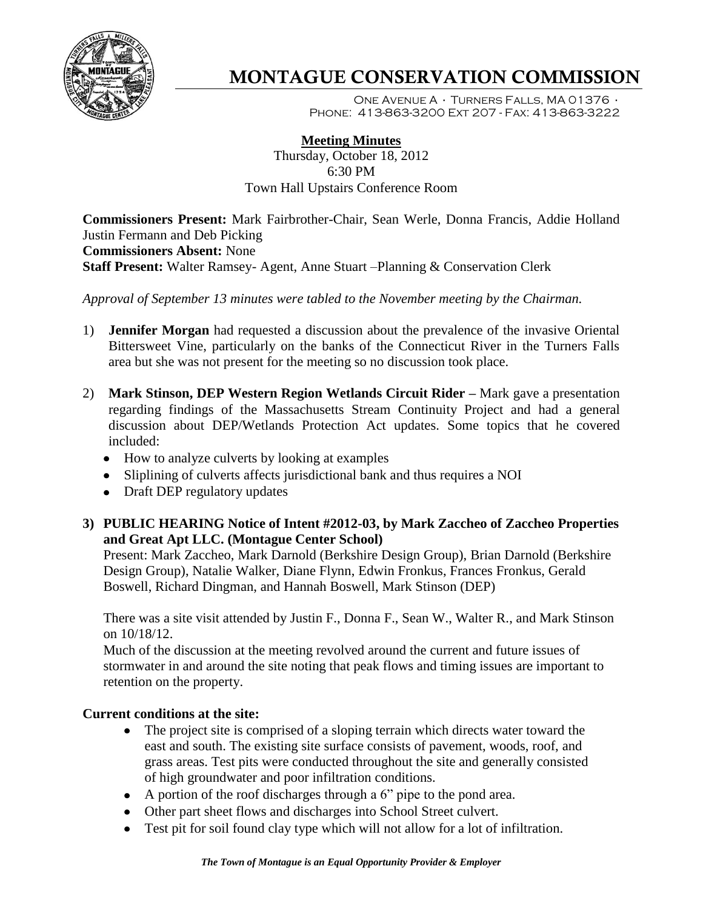

# **MONTAGUE CONSERVATION COMMISSION**

One Avenue A · Turners Falls, MA 01376 · Phone: 413-863-3200 Ext 207 - Fax: 413-863-3222

## **Meeting Minutes**

Thursday, October 18, 2012 6:30 PM Town Hall Upstairs Conference Room

**Commissioners Present:** Mark Fairbrother-Chair, Sean Werle, Donna Francis, Addie Holland Justin Fermann and Deb Picking **Commissioners Absent:** None **Staff Present:** Walter Ramsey- Agent, Anne Stuart –Planning & Conservation Clerk

*Approval of September 13 minutes were tabled to the November meeting by the Chairman.*

- 1) **Jennifer Morgan** had requested a discussion about the prevalence of the invasive Oriental Bittersweet Vine, particularly on the banks of the Connecticut River in the Turners Falls area but she was not present for the meeting so no discussion took place.
- 2) **Mark Stinson, DEP Western Region Wetlands Circuit Rider –** Mark gave a presentation regarding findings of the Massachusetts Stream Continuity Project and had a general discussion about DEP/Wetlands Protection Act updates. Some topics that he covered included:
	- How to analyze culverts by looking at examples
	- Sliplining of culverts affects jurisdictional bank and thus requires a NOI
	- Draft DEP regulatory updates
- **3) PUBLIC HEARING Notice of Intent #2012-03, by Mark Zaccheo of Zaccheo Properties and Great Apt LLC. (Montague Center School)**

Present: Mark Zaccheo, Mark Darnold (Berkshire Design Group), Brian Darnold (Berkshire Design Group), Natalie Walker, Diane Flynn, Edwin Fronkus, Frances Fronkus, Gerald Boswell, Richard Dingman, and Hannah Boswell, Mark Stinson (DEP)

There was a site visit attended by Justin F., Donna F., Sean W., Walter R., and Mark Stinson on 10/18/12.

Much of the discussion at the meeting revolved around the current and future issues of stormwater in and around the site noting that peak flows and timing issues are important to retention on the property.

#### **Current conditions at the site:**

- The project site is comprised of a sloping terrain which directs water toward the east and south. The existing site surface consists of pavement, woods, roof, and grass areas. Test pits were conducted throughout the site and generally consisted of high groundwater and poor infiltration conditions.
- A portion of the roof discharges through a 6" pipe to the pond area.
- Other part sheet flows and discharges into School Street culvert.
- Test pit for soil found clay type which will not allow for a lot of infiltration.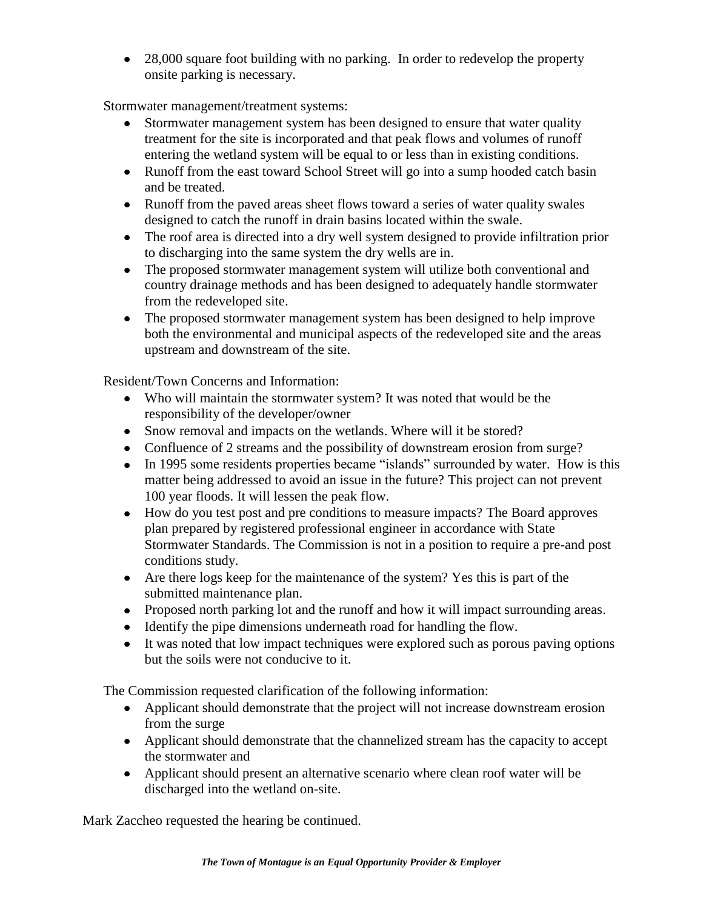• 28,000 square foot building with no parking. In order to redevelop the property onsite parking is necessary.

Stormwater management/treatment systems:

- Stormwater management system has been designed to ensure that water quality treatment for the site is incorporated and that peak flows and volumes of runoff entering the wetland system will be equal to or less than in existing conditions.
- Runoff from the east toward School Street will go into a sump hooded catch basin and be treated.
- Runoff from the paved areas sheet flows toward a series of water quality swales designed to catch the runoff in drain basins located within the swale.
- The roof area is directed into a dry well system designed to provide infiltration prior to discharging into the same system the dry wells are in.
- The proposed stormwater management system will utilize both conventional and country drainage methods and has been designed to adequately handle stormwater from the redeveloped site.
- The proposed stormwater management system has been designed to help improve both the environmental and municipal aspects of the redeveloped site and the areas upstream and downstream of the site.

Resident/Town Concerns and Information:

- Who will maintain the stormwater system? It was noted that would be the responsibility of the developer/owner
- Snow removal and impacts on the wetlands. Where will it be stored?
- Confluence of 2 streams and the possibility of downstream erosion from surge?
- In 1995 some residents properties became "islands" surrounded by water. How is this matter being addressed to avoid an issue in the future? This project can not prevent 100 year floods. It will lessen the peak flow.
- How do you test post and pre conditions to measure impacts? The Board approves plan prepared by registered professional engineer in accordance with State Stormwater Standards. The Commission is not in a position to require a pre-and post conditions study.
- Are there logs keep for the maintenance of the system? Yes this is part of the submitted maintenance plan.
- Proposed north parking lot and the runoff and how it will impact surrounding areas.
- Identify the pipe dimensions underneath road for handling the flow.
- It was noted that low impact techniques were explored such as porous paving options but the soils were not conducive to it.

The Commission requested clarification of the following information:

- Applicant should demonstrate that the project will not increase downstream erosion from the surge
- Applicant should demonstrate that the channelized stream has the capacity to accept the stormwater and
- Applicant should present an alternative scenario where clean roof water will be discharged into the wetland on-site.

Mark Zaccheo requested the hearing be continued.